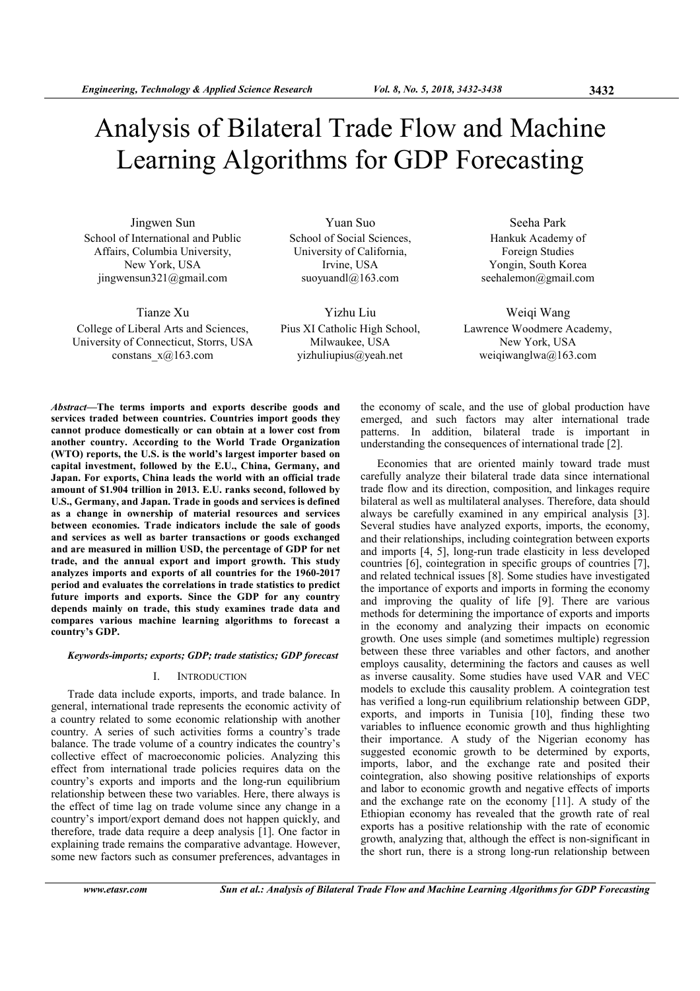# Analysis of Bilateral Trade Flow and Machine Learning Algorithms for GDP Forecasting

Jingwen Sun School of International and Public Affairs, Columbia University, New York, USA jingwensun321@gmail.com

Tianze Xu College of Liberal Arts and Sciences, University of Connecticut, Storrs, USA constans  $x(a)$ 163.com

Yuan Suo School of Social Sciences, University of California, Irvine, USA suoyuandl@163.com

Yizhu Liu Pius XI Catholic High School, Milwaukee, USA yizhuliupius@yeah.net

Seeha Park Hankuk Academy of Foreign Studies Yongin, South Korea seehalemon@gmail.com

Weiqi Wang Lawrence Woodmere Academy, New York, USA weiqiwanglwa@163.com

Abstract—The terms imports and exports describe goods and services traded between countries. Countries import goods they cannot produce domestically or can obtain at a lower cost from another country. According to the World Trade Organization (WTO) reports, the U.S. is the world's largest importer based on capital investment, followed by the E.U., China, Germany, and Japan. For exports, China leads the world with an official trade amount of \$1.904 trillion in 2013. E.U. ranks second, followed by U.S., Germany, and Japan. Trade in goods and services is defined as a change in ownership of material resources and services between economies. Trade indicators include the sale of goods and services as well as barter transactions or goods exchanged and are measured in million USD, the percentage of GDP for net trade, and the annual export and import growth. This study analyzes imports and exports of all countries for the 1960-2017 period and evaluates the correlations in trade statistics to predict future imports and exports. Since the GDP for any country depends mainly on trade, this study examines trade data and compares various machine learning algorithms to forecast a country's GDP.

# Keywords-imports; exports; GDP; trade statistics; GDP forecast

# I. INTRODUCTION

Trade data include exports, imports, and trade balance. In general, international trade represents the economic activity of a country related to some economic relationship with another country. A series of such activities forms a country's trade balance. The trade volume of a country indicates the country's collective effect of macroeconomic policies. Analyzing this effect from international trade policies requires data on the country's exports and imports and the long-run equilibrium relationship between these two variables. Here, there always is the effect of time lag on trade volume since any change in a country's import/export demand does not happen quickly, and therefore, trade data require a deep analysis [1]. One factor in explaining trade remains the comparative advantage. However, some new factors such as consumer preferences, advantages in

the economy of scale, and the use of global production have emerged, and such factors may alter international trade patterns. In addition, bilateral trade is important in understanding the consequences of international trade [2].

Economies that are oriented mainly toward trade must carefully analyze their bilateral trade data since international trade flow and its direction, composition, and linkages require bilateral as well as multilateral analyses. Therefore, data should always be carefully examined in any empirical analysis [3]. Several studies have analyzed exports, imports, the economy, and their relationships, including cointegration between exports and imports [4, 5], long-run trade elasticity in less developed countries [6], cointegration in specific groups of countries [7], and related technical issues [8]. Some studies have investigated the importance of exports and imports in forming the economy and improving the quality of life [9]. There are various methods for determining the importance of exports and imports in the economy and analyzing their impacts on economic growth. One uses simple (and sometimes multiple) regression between these three variables and other factors, and another employs causality, determining the factors and causes as well as inverse causality. Some studies have used VAR and VEC models to exclude this causality problem. A cointegration test has verified a long-run equilibrium relationship between GDP, exports, and imports in Tunisia [10], finding these two variables to influence economic growth and thus highlighting their importance. A study of the Nigerian economy has suggested economic growth to be determined by exports, imports, labor, and the exchange rate and posited their cointegration, also showing positive relationships of exports and labor to economic growth and negative effects of imports and the exchange rate on the economy [11]. A study of the Ethiopian economy has revealed that the growth rate of real exports has a positive relationship with the rate of economic growth, analyzing that, although the effect is non-significant in the short run, there is a strong long-run relationship between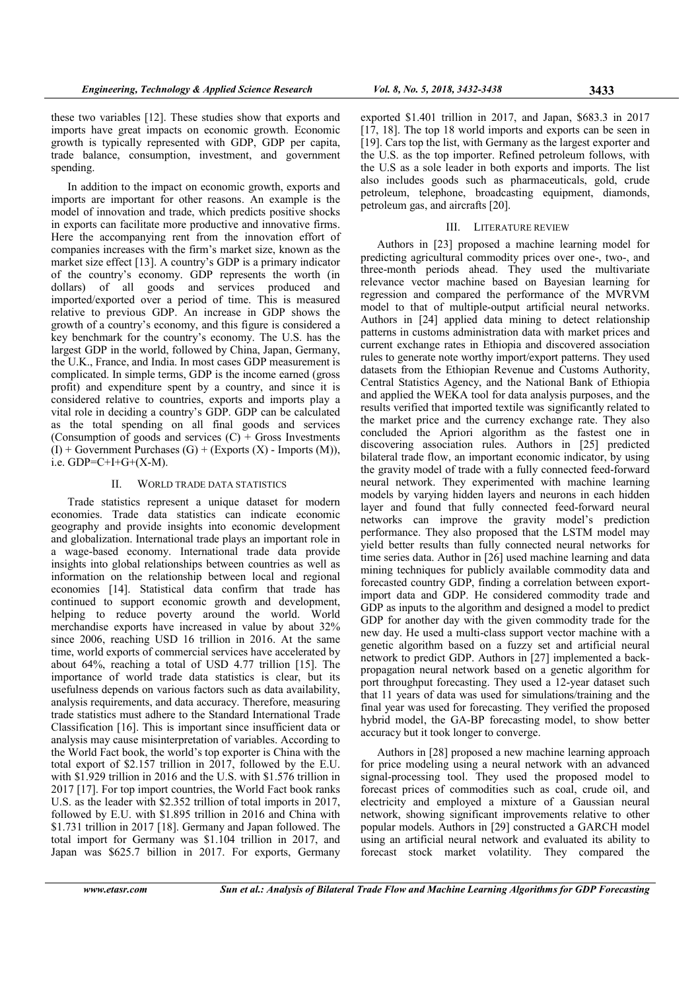these two variables [12]. These studies show that exports and imports have great impacts on economic growth. Economic growth is typically represented with GDP, GDP per capita, trade balance, consumption, investment, and government spending.

In addition to the impact on economic growth, exports and imports are important for other reasons. An example is the model of innovation and trade, which predicts positive shocks in exports can facilitate more productive and innovative firms. Here the accompanying rent from the innovation effort of companies increases with the firm's market size, known as the market size effect [13]. A country's GDP is a primary indicator of the country's economy. GDP represents the worth (in dollars) of all goods and services produced and imported/exported over a period of time. This is measured relative to previous GDP. An increase in GDP shows the growth of a country's economy, and this figure is considered a key benchmark for the country's economy. The U.S. has the largest GDP in the world, followed by China, Japan, Germany, the U.K., France, and India. In most cases GDP measurement is complicated. In simple terms, GDP is the income earned (gross profit) and expenditure spent by a country, and since it is considered relative to countries, exports and imports play a vital role in deciding a country's GDP. GDP can be calculated as the total spending on all final goods and services (Consumption of goods and services  $(C)$  + Gross Investments  $(I)$  + Government Purchases  $(G)$  + (Exports  $(X)$  - Imports  $(M)$ ), i.e.  $GDP = C + I + G + (X - M)$ .

# II. WORLD TRADE DATA STATISTICS

Trade statistics represent a unique dataset for modern economies. Trade data statistics can indicate economic geography and provide insights into economic development and globalization. International trade plays an important role in a wage-based economy. International trade data provide insights into global relationships between countries as well as information on the relationship between local and regional economies [14]. Statistical data confirm that trade has continued to support economic growth and development, helping to reduce poverty around the world. World merchandise exports have increased in value by about 32% since 2006, reaching USD 16 trillion in 2016. At the same time, world exports of commercial services have accelerated by about 64%, reaching a total of USD 4.77 trillion [15]. The importance of world trade data statistics is clear, but its usefulness depends on various factors such as data availability, analysis requirements, and data accuracy. Therefore, measuring trade statistics must adhere to the Standard International Trade Classification [16]. This is important since insufficient data or analysis may cause misinterpretation of variables. According to the World Fact book, the world's top exporter is China with the total export of \$2.157 trillion in 2017, followed by the E.U. with \$1.929 trillion in 2016 and the U.S. with \$1.576 trillion in 2017 [17]. For top import countries, the World Fact book ranks U.S. as the leader with \$2.352 trillion of total imports in 2017, followed by E.U. with \$1.895 trillion in 2016 and China with \$1.731 trillion in 2017 [18]. Germany and Japan followed. The total import for Germany was \$1.104 trillion in 2017, and Japan was \$625.7 billion in 2017. For exports, Germany

exported \$1.401 trillion in 2017, and Japan, \$683.3 in 2017 [17, 18]. The top 18 world imports and exports can be seen in [19]. Cars top the list, with Germany as the largest exporter and the U.S. as the top importer. Refined petroleum follows, with the U.S as a sole leader in both exports and imports. The list also includes goods such as pharmaceuticals, gold, crude petroleum, telephone, broadcasting equipment, diamonds, petroleum gas, and aircrafts [20].

## III. LITERATURE REVIEW

Authors in [23] proposed a machine learning model for predicting agricultural commodity prices over one-, two-, and three-month periods ahead. They used the multivariate relevance vector machine based on Bayesian learning for regression and compared the performance of the MVRVM model to that of multiple-output artificial neural networks. Authors in [24] applied data mining to detect relationship patterns in customs administration data with market prices and current exchange rates in Ethiopia and discovered association rules to generate note worthy import/export patterns. They used datasets from the Ethiopian Revenue and Customs Authority, Central Statistics Agency, and the National Bank of Ethiopia and applied the WEKA tool for data analysis purposes, and the results verified that imported textile was significantly related to the market price and the currency exchange rate. They also concluded the Apriori algorithm as the fastest one in discovering association rules. Authors in [25] predicted bilateral trade flow, an important economic indicator, by using the gravity model of trade with a fully connected feed-forward neural network. They experimented with machine learning models by varying hidden layers and neurons in each hidden layer and found that fully connected feed-forward neural networks can improve the gravity model's prediction performance. They also proposed that the LSTM model may yield better results than fully connected neural networks for time series data. Author in [26] used machine learning and data mining techniques for publicly available commodity data and forecasted country GDP, finding a correlation between exportimport data and GDP. He considered commodity trade and GDP as inputs to the algorithm and designed a model to predict GDP for another day with the given commodity trade for the new day. He used a multi-class support vector machine with a genetic algorithm based on a fuzzy set and artificial neural network to predict GDP. Authors in [27] implemented a backpropagation neural network based on a genetic algorithm for port throughput forecasting. They used a 12-year dataset such that 11 years of data was used for simulations/training and the final year was used for forecasting. They verified the proposed hybrid model, the GA-BP forecasting model, to show better accuracy but it took longer to converge.

Authors in [28] proposed a new machine learning approach for price modeling using a neural network with an advanced signal-processing tool. They used the proposed model to forecast prices of commodities such as coal, crude oil, and electricity and employed a mixture of a Gaussian neural network, showing significant improvements relative to other popular models. Authors in [29] constructed a GARCH model using an artificial neural network and evaluated its ability to forecast stock market volatility. They compared the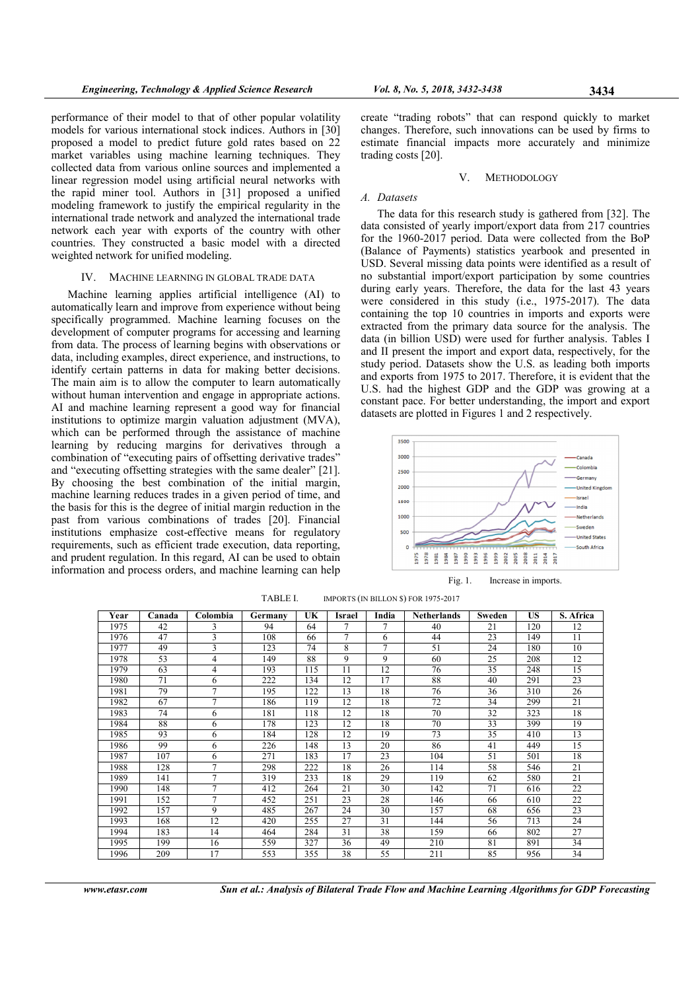performance of their model to that of other popular volatility models for various international stock indices. Authors in [30] proposed a model to predict future gold rates based on 22 market variables using machine learning techniques. They collected data from various online sources and implemented a linear regression model using artificial neural networks with the rapid miner tool. Authors in [31] proposed a unified modeling framework to justify the empirical regularity in the international trade network and analyzed the international trade network each year with exports of the country with other countries. They constructed a basic model with a directed weighted network for unified modeling.

# IV. MACHINE LEARNING IN GLOBAL TRADE DATA

Machine learning applies artificial intelligence (AI) to automatically learn and improve from experience without being specifically programmed. Machine learning focuses on the development of computer programs for accessing and learning from data. The process of learning begins with observations or data, including examples, direct experience, and instructions, to identify certain patterns in data for making better decisions. The main aim is to allow the computer to learn automatically without human intervention and engage in appropriate actions. AI and machine learning represent a good way for financial institutions to optimize margin valuation adjustment (MVA), which can be performed through the assistance of machine learning by reducing margins for derivatives through a combination of "executing pairs of offsetting derivative trades" and "executing offsetting strategies with the same dealer" [21]. By choosing the best combination of the initial margin, machine learning reduces trades in a given period of time, and the basis for this is the degree of initial margin reduction in the past from various combinations of trades [20]. Financial institutions emphasize cost-effective means for regulatory requirements, such as efficient trade execution, data reporting, and prudent regulation. In this regard, AI can be used to obtain information and process orders, and machine learning can help

create "trading robots" that can respond quickly to market changes. Therefore, such innovations can be used by firms to estimate financial impacts more accurately and minimize trading costs [20].

#### V. METHODOLOGY

# A. Datasets

The data for this research study is gathered from [32]. The data consisted of yearly import/export data from 217 countries for the 1960-2017 period. Data were collected from the BoP (Balance of Payments) statistics yearbook and presented in USD. Several missing data points were identified as a result of no substantial import/export participation by some countries during early years. Therefore, the data for the last 43 years were considered in this study (i.e., 1975-2017). The data containing the top 10 countries in imports and exports were extracted from the primary data source for the analysis. The data (in billion USD) were used for further analysis. Tables I and II present the import and export data, respectively, for the study period. Datasets show the U.S. as leading both imports and exports from 1975 to 2017. Therefore, it is evident that the U.S. had the highest GDP and the GDP was growing at a constant pace. For better understanding, the import and export datasets are plotted in Figures 1 and 2 respectively.



Fig. 1. Increase in imports.

| Year | Canada | Colombia | Germany | UK  | Israel | India          | <b>Netherlands</b> | Sweden | US  | S. Africa |
|------|--------|----------|---------|-----|--------|----------------|--------------------|--------|-----|-----------|
| 1975 | 42     | 3        | 94      | 64  |        |                | 40                 | 21     | 120 | 12        |
| 1976 | 47     | 3        | 108     | 66  | 7      | 6              | 44                 | 23     | 149 | 11        |
| 1977 | 49     | 3        | 123     | 74  | 8      | $\overline{7}$ | 51                 | 24     | 180 | 10        |
| 1978 | 53     | 4        | 149     | 88  | 9      | 9              | 60                 | 25     | 208 | 12        |
| 1979 | 63     | 4        | 193     | 115 | 11     | 12             | 76                 | 35     | 248 | 15        |
| 1980 | 71     | 6        | 222     | 134 | 12     | 17             | 88                 | 40     | 291 | 23        |
| 1981 | 79     | 7        | 195     | 122 | 13     | 18             | 76                 | 36     | 310 | 26        |
| 1982 | 67     | 7        | 186     | 119 | 12     | 18             | 72                 | 34     | 299 | 21        |
| 1983 | 74     | 6        | 181     | 118 | 12     | 18             | 70                 | 32     | 323 | 18        |
| 1984 | 88     | 6        | 178     | 123 | 12     | 18             | 70                 | 33     | 399 | 19        |
| 1985 | 93     | 6        | 184     | 128 | 12     | 19             | 73                 | 35     | 410 | 13        |
| 1986 | 99     | 6        | 226     | 148 | 13     | 20             | 86                 | 41     | 449 | 15        |
| 1987 | 107    | 6        | 271     | 183 | 17     | 23             | 104                | 51     | 501 | 18        |
| 1988 | 128    | 7        | 298     | 222 | 18     | 26             | 114                | 58     | 546 | 21        |
| 1989 | 141    | 7        | 319     | 233 | 18     | 29             | 119                | 62     | 580 | 21        |
| 1990 | 148    | 7        | 412     | 264 | 21     | 30             | 142                | 71     | 616 | 22        |
| 1991 | 152    | 7        | 452     | 251 | 23     | 28             | 146                | 66     | 610 | 22        |
| 1992 | 157    | 9        | 485     | 267 | 24     | 30             | 157                | 68     | 656 | 23        |
| 1993 | 168    | 12       | 420     | 255 | 27     | 31             | 144                | 56     | 713 | 24        |
| 1994 | 183    | 14       | 464     | 284 | 31     | 38             | 159                | 66     | 802 | 27        |
| 1995 | 199    | 16       | 559     | 327 | 36     | 49             | 210                | 81     | 891 | 34        |
| 1996 | 209    | 17       | 553     | 355 | 38     | 55             | 211                | 85     | 956 | 34        |

TABLE I. IMPORTS (IN BILLON \$) FOR 1975-2017

www.etasr.com Sun et al.: Analysis of Bilateral Trade Flow and Machine Learning Algorithms for GDP Forecasting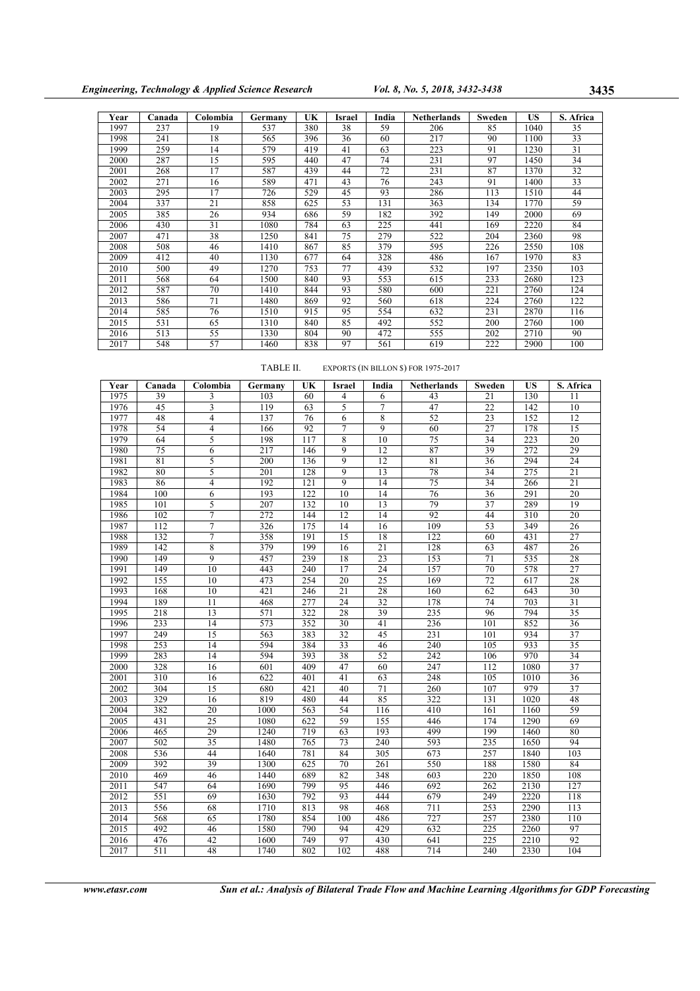| Year | Canada | Colombia | Germany | UK  | Israel | India | <b>Netherlands</b> | Sweden | US   | S. Africa |
|------|--------|----------|---------|-----|--------|-------|--------------------|--------|------|-----------|
| 1997 | 237    | 19       | 537     | 380 | 38     | 59    | 206                | 85     | 1040 | 35        |
| 1998 | 241    | 18       | 565     | 396 | 36     | 60    | 217                | 90     | 1100 | 33        |
| 1999 | 259    | 14       | 579     | 419 | 41     | 63    | 223                | 91     | 1230 | 31        |
| 2000 | 287    | 15       | 595     | 440 | 47     | 74    | 231                | 97     | 1450 | 34        |
| 2001 | 268    | 17       | 587     | 439 | 44     | 72    | 231                | 87     | 1370 | 32        |
| 2002 | 271    | 16       | 589     | 471 | 43     | 76    | 243                | 91     | 1400 | 33        |
| 2003 | 295    | 17       | 726     | 529 | 45     | 93    | 286                | 113    | 1510 | 44        |
| 2004 | 337    | 21       | 858     | 625 | 53     | 131   | 363                | 134    | 1770 | 59        |
| 2005 | 385    | 26       | 934     | 686 | 59     | 182   | 392                | 149    | 2000 | 69        |
| 2006 | 430    | 31       | 1080    | 784 | 63     | 225   | 441                | 169    | 2220 | 84        |
| 2007 | 471    | 38       | 1250    | 841 | 75     | 279   | 522                | 204    | 2360 | 98        |
| 2008 | 508    | 46       | 1410    | 867 | 85     | 379   | 595                | 226    | 2550 | 108       |
| 2009 | 412    | 40       | 1130    | 677 | 64     | 328   | 486                | 167    | 1970 | 83        |
| 2010 | 500    | 49       | 1270    | 753 | 77     | 439   | 532                | 197    | 2350 | 103       |
| 2011 | 568    | 64       | 1500    | 840 | 93     | 553   | 615                | 233    | 2680 | 123       |
| 2012 | 587    | 70       | 1410    | 844 | 93     | 580   | 600                | 221    | 2760 | 124       |
| 2013 | 586    | 71       | 1480    | 869 | 92     | 560   | 618                | 224    | 2760 | 122       |
| 2014 | 585    | 76       | 1510    | 915 | 95     | 554   | 632                | 231    | 2870 | 116       |
| 2015 | 531    | 65       | 1310    | 840 | 85     | 492   | 552                | 200    | 2760 | 100       |
| 2016 | 513    | 55       | 1330    | 804 | 90     | 472   | 555                | 202    | 2710 | 90        |
| 2017 | 548    | 57       | 1460    | 838 | 97     | 561   | 619                | 222    | 2900 | 100       |

TABLE II. EXPORTS (IN BILLON \$) FOR 1975-2017

| Year              | Canada | Colombia        | Germany | UK  | <b>Israel</b>  | India           | <b>Netherlands</b> | Sweden | <b>US</b> | S. Africa       |
|-------------------|--------|-----------------|---------|-----|----------------|-----------------|--------------------|--------|-----------|-----------------|
| 1975              | 39     | 3               | 103     | 60  | 4              | 6               | 43                 | 21     | 130       | 11              |
| 1976              | 45     | 3               | 119     | 63  | 5              | 7               | 47                 | 22     | 142       | 10              |
| 1977              | 48     | 4               | 137     | 76  | 6              | 8               | 52                 | 23     | 152       | 12              |
| 1978              | 54     | $\overline{4}$  | 166     | 92  | 7              | 9               | 60                 | 27     | 178       | $\overline{15}$ |
| 1979              | 64     | 5               | 198     | 117 | 8              | 10              | 75                 | 34     | 223       | 20              |
| 1980              | 75     | 6               | 217     | 146 | 9              | 12              | 87                 | 39     | 272       | 29              |
| 1981              | 81     | 5               | 200     | 136 | 9              | 12              | 81                 | 36     | 294       | 24              |
| 1982              | 80     | 5               | 201     | 128 | $\overline{9}$ | 13              | 78                 | 34     | 275       | $\overline{21}$ |
| 1983              | 86     | 4               | 192     | 121 | 9              | 14              | 75                 | 34     | 266       | 21              |
| 1984              | 100    | 6               | 193     | 122 | 10             | 14              | 76                 | 36     | 291       | 20              |
| 1985              | 101    | 5               | 207     | 132 | 10             | 13              | 79                 | 37     | 289       | 19              |
| 1986              | 102    | 7               | 272     | 144 | 12             | 14              | 92                 | 44     | 310       | 20              |
| 1987              | 112    | 7               | 326     | 175 | 14             | 16              | 109                | 53     | 349       | 26              |
| 1988              | 132    | $\overline{7}$  | 358     | 191 | 15             | 18              | 122                | 60     | 431       | 27              |
| 1989              | 142    | 8               | 379     | 199 | 16             | 21              | 128                | 63     | 487       | 26              |
| 1990              | 149    | 9               | 457     | 239 | 18             | 23              | 153                | 71     | 535       | 28              |
| 1991              | 149    | 10              | 443     | 240 | 17             | 24              | 157                | 70     | 578       | 27              |
| 1992              | 155    | 10              | 473     | 254 | 20             | $\overline{25}$ | 169                | 72     | 617       | 28              |
| 1993              | 168    | 10              | 421     | 246 | 21             | 28              | 160                | 62     | 643       | 30              |
| 1994              | 189    | 11              | 468     | 277 | 24             | 32              | 178                | 74     | 703       | 31              |
| 1995              | 218    | 13              | 571     | 322 | 28             | 39              | 235                | 96     | 794       | 35              |
| 1996              | 233    | 14              | 573     | 352 | 30             | 41              | 236                | 101    | 852       | 36              |
| 1997              | 249    | 15              | 563     | 383 | 32             | 45              | 231                | 101    | 934       | 37              |
| 1998              | 253    | 14              | 594     | 384 | 33             | 46              | 240                | 105    | 933       | $\overline{35}$ |
| 1999              | 283    | 14              | 594     | 393 | 38             | 52              | 242                | 106    | 970       | 34              |
| 2000              | 328    | 16              | 601     | 409 | 47             | 60              | 247                | 112    | 1080      | 37              |
| 2001              | 310    | 16              | 622     | 401 | 41             | 63              | 248                | 105    | 1010      | 36              |
| 2002              | 304    | 15              | 680     | 421 | 40             | $71\,$          | 260                | 107    | 979       | 37              |
| 2003              | 329    | 16              | 819     | 480 | 44             | 85              | 322                | 131    | 1020      | 48              |
| 2004              | 382    | 20              | 1000    | 563 | 54             | 116             | 410                | 161    | 1160      | 59              |
| 2005              | 431    | 25              | 1080    | 622 | 59             | 155             | 446                | 174    | 1290      | 69              |
| 2006              | 465    | 29              | 1240    | 719 | 63             | 193             | 499                | 199    | 1460      | 80              |
| 2007              | 502    | $\overline{35}$ | 1480    | 765 | 73             | 240             | 593                | 235    | 1650      | 94              |
| 2008              | 536    | 44              | 1640    | 781 | 84             | 305             | 673                | 257    | 1840      | 103             |
| 2009              | 392    | 39              | 1300    | 625 | 70             | 261             | 550                | 188    | 1580      | 84              |
| 2010              | 469    | 46              | 1440    | 689 | 82             | 348             | 603                | 220    | 1850      | 108             |
| 2011              | 547    | 64              | 1690    | 799 | 95             | 446             | 692                | 262    | 2130      | 127             |
| 2012              | 551    | 69              | 1630    | 792 | 93             | 444             | 679                | 249    | 2220      | 118             |
| 2013              | 556    | 68              | 1710    | 813 | 98             | 468             | 711                | 253    | 2290      | 113             |
| 2014              | 568    | 65              | 1780    | 854 | 100            | 486             | 727                | 257    | 2380      | 110             |
| $\overline{2015}$ | 492    | 46              | 1580    | 790 | 94             | 429             | 632                | 225    | 2260      | 97              |
| 2016              | 476    | 42              | 1600    | 749 | 97             | 430             | 641                | 225    | 2210      | 92              |
| 2017              | 511    | 48              | 1740    | 802 | 102            | 488             | 714                | 240    | 2330      | 104             |

www.etasr.com Sun et al.: Analysis of Bilateral Trade Flow and Machine Learning Algorithms for GDP Forecasting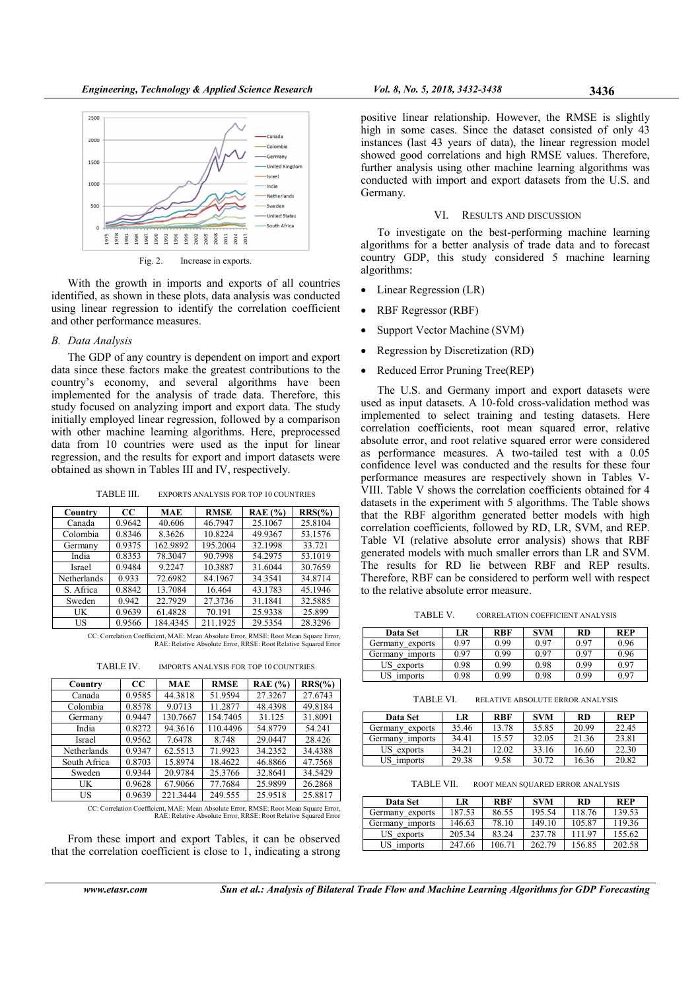

Fig. 2. Increase in exports.

With the growth in imports and exports of all countries identified, as shown in these plots, data analysis was conducted using linear regression to identify the correlation coefficient and other performance measures.

# B. Data Analysis

The GDP of any country is dependent on import and export data since these factors make the greatest contributions to the country's economy, and several algorithms have been implemented for the analysis of trade data. Therefore, this study focused on analyzing import and export data. The study initially employed linear regression, followed by a comparison with other machine learning algorithms. Here, preprocessed data from 10 countries were used as the input for linear regression, and the results for export and import datasets were obtained as shown in Tables III and IV, respectively.

TABLE III. EXPORTS ANALYSIS FOR TOP 10 COUNTRIES

| Country     | CC     | <b>MAE</b> | <b>RMSE</b> | RAE(%)  | $RRS(\% )$ |
|-------------|--------|------------|-------------|---------|------------|
| Canada      | 0.9642 | 40.606     | 46.7947     | 25.1067 | 25.8104    |
| Colombia    | 0.8346 | 8.3626     | 10.8224     | 49.9367 | 53.1576    |
| Germany     | 0.9375 | 162.9892   | 195.2004    | 32.1998 | 33.721     |
| India       | 0.8353 | 78.3047    | 90.7998     | 54.2975 | 53.1019    |
| Israel      | 0.9484 | 9.2247     | 10.3887     | 31.6044 | 30.7659    |
| Netherlands | 0.933  | 72.6982    | 84.1967     | 34.3541 | 34.8714    |
| S. Africa   | 0.8842 | 13.7084    | 16.464      | 43.1783 | 45.1946    |
| Sweden      | 0.942  | 22.7929    | 27.3736     | 31.1841 | 32.5885    |
| UK          | 0.9639 | 61.4828    | 70.191      | 25.9338 | 25.899     |
| US          | 0.9566 | 184.4345   | 211.1925    | 29.5354 | 28.3296    |

CC: Correlation Coefficient, MAE: Mean Absolute Error, RMSE: Root Mean Square Error, RAE: Relative Absolute Error, RRSE: Root Relative Squared Error

TABLE IV. IMPORTS ANALYSIS FOR TOP 10 COUNTRIES

| Country      | $_{\rm CC}$ | MAE      | <b>RMSE</b> | RAE $(%$ | $RRS(\% )$ |
|--------------|-------------|----------|-------------|----------|------------|
| Canada       | 0.9585      | 44.3818  | 51.9594     | 27.3267  | 27.6743    |
| Colombia     | 0.8578      | 9.0713   | 11.2877     | 48.4398  | 49.8184    |
| Germany      | 0.9447      | 130.7667 | 154.7405    | 31.125   | 31.8091    |
| India        | 0.8272      | 94.3616  | 110.4496    | 54.8779  | 54.241     |
| Israel       | 0.9562      | 7.6478   | 8.748       | 29.0447  | 28.426     |
| Netherlands  | 0.9347      | 62.5513  | 71.9923     | 34.2352  | 34.4388    |
| South Africa | 0.8703      | 15.8974  | 18.4622     | 46.8866  | 47.7568    |
| Sweden       | 0.9344      | 20.9784  | 25.3766     | 32.8641  | 34.5429    |
| UK           | 0.9628      | 67.9066  | 77.7684     | 25.9899  | 26.2868    |
| US           | 0.9639      | 221.3444 | 249.555     | 25.9518  | 25.8817    |

CC: Correlation Coefficient, MAE: Mean Absolute Error, RMSE: Root Mean Square Error, RAE: Relative Absolute Error, RRSE: Root Relative Squared Error

From these import and export Tables, it can be observed that the correlation coefficient is close to 1, indicating a strong

positive linear relationship. However, the RMSE is slightly high in some cases. Since the dataset consisted of only 43 instances (last 43 years of data), the linear regression model showed good correlations and high RMSE values. Therefore, further analysis using other machine learning algorithms was conducted with import and export datasets from the U.S. and Germany.

# VI. RESULTS AND DISCUSSION

To investigate on the best-performing machine learning algorithms for a better analysis of trade data and to forecast country GDP, this study considered 5 machine learning algorithms:

- Linear Regression (LR)
- RBF Regressor (RBF)
- Support Vector Machine (SVM)
- Regression by Discretization (RD)
- Reduced Error Pruning Tree(REP)

The U.S. and Germany import and export datasets were used as input datasets. A 10-fold cross-validation method was implemented to select training and testing datasets. Here correlation coefficients, root mean squared error, relative absolute error, and root relative squared error were considered as performance measures. A two-tailed test with a 0.05 confidence level was conducted and the results for these four performance measures are respectively shown in Tables V-VIII. Table V shows the correlation coefficients obtained for 4 datasets in the experiment with 5 algorithms. The Table shows that the RBF algorithm generated better models with high correlation coefficients, followed by RD, LR, SVM, and REP. Table VI (relative absolute error analysis) shows that RBF generated models with much smaller errors than LR and SVM. The results for RD lie between RBF and REP results. Therefore, RBF can be considered to perform well with respect to the relative absolute error measure.

TABLE V. CORRELATION COEFFICIENT ANALYSIS

| <b>Data Set</b>             | LR   | RBF  | <b>SVM</b> | RD   | REP  |
|-----------------------------|------|------|------------|------|------|
| Germany exports             | 0.97 | 0.99 | 0.97       | 0.97 | 0.96 |
| Germany<br><i>s</i> imports | 0.97 | 0.99 | 0.97       | 0.97 | 0.96 |
| US exports                  | 0.98 | 0.99 | 0.98       | 0.99 | 0.97 |
| US imports                  | 0.98 | 0.99 | 0.98       | 0.99 | 0.97 |

TABLE VI. RELATIVE ABSOLUTE ERROR ANALYSIS

| <b>Data Set</b>    | LR    | RBF   | <b>SVM</b> | RD    | REP   |
|--------------------|-------|-------|------------|-------|-------|
| Germany exports    | 35.46 | 13.78 | 35.85      | 20.99 | 22.45 |
| Germanv<br>imports | 34.41 | 15.57 | 32.05      | 21.36 | 23.81 |
| US exports         | 34.21 | 12.02 | 33.16      | 16.60 | 22.30 |
| US imports         | 29.38 | 9.58  | 30.72      | 16.36 | 20.82 |

TABLE VII. ROOT MEAN SQUARED ERROR ANALYSIS

| Data Set           | LR     | <b>RBF</b> | <b>SVM</b> | <b>RD</b> | REP    |
|--------------------|--------|------------|------------|-----------|--------|
| Germany<br>exports | 187.53 | 86.55      | 195.54     | 118.76    | 139.53 |
| Germany<br>imports | 146.63 | 78.10      | 149.10     | 105.87    | 119.36 |
| US exports         | 205.34 | 83.24      | 237.78     | 11197     | 155.62 |
| US imports         | 247.66 | 106.71     | 262.79     | 156.85    | 202.58 |

www.etasr.com Sun et al.: Analysis of Bilateral Trade Flow and Machine Learning Algorithms for GDP Forecasting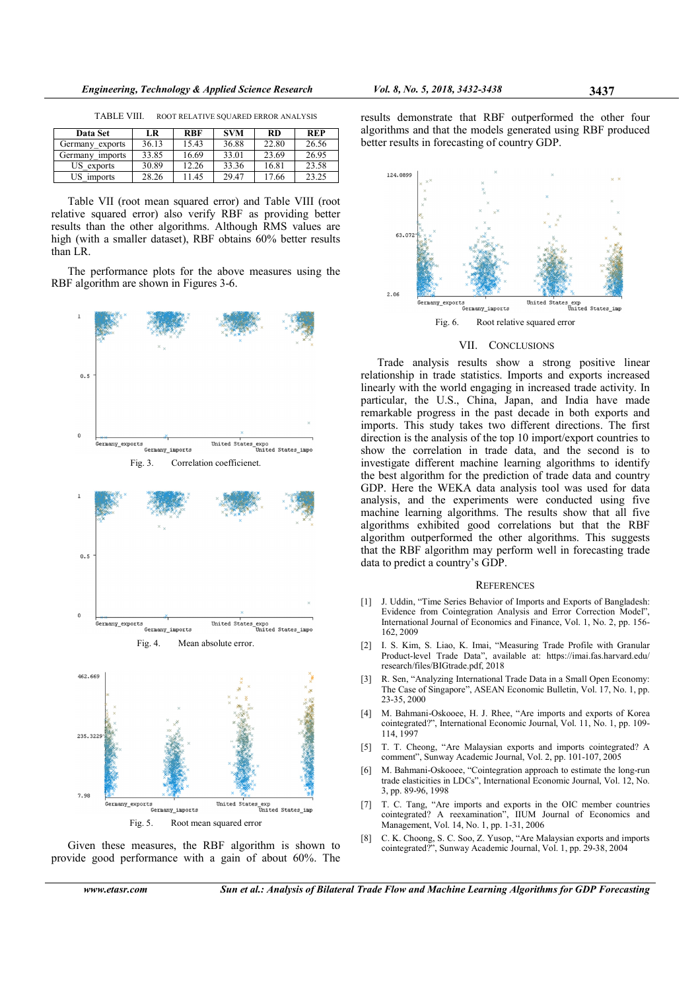TABLE VIII. ROOT RELATIVE SQUARED ERROR ANALYSIS

| Data Set                    | LR    | <b>RBF</b> | <b>SVM</b> | <b>RD</b> | <b>REP</b> |
|-----------------------------|-------|------------|------------|-----------|------------|
| Germany<br>exports          | 36.13 | 15.43      | 36.88      | 22.80     | 26.56      |
| Germany<br><i>s</i> imports | 33.85 | 16.69      | 33.01      | 23.69     | 26.95      |
| US exports                  | 30.89 | 12.26      | 33.36      | 16.81     | 23.58      |
| US imports                  | 28.26 | 11.45      | 29.47      | 17.66     | 23.25      |

Table VII (root mean squared error) and Table VIII (root relative squared error) also verify RBF as providing better results than the other algorithms. Although RMS values are high (with a smaller dataset), RBF obtains 60% better results than LR.

The performance plots for the above measures using the RBF algorithm are shown in Figures 3-6.





Given these measures, the RBF algorithm is shown to provide good performance with a gain of about 60%. The

.<br>Germany\_exports

Carneny innorte

results demonstrate that RBF outperformed the other four algorithms and that the models generated using RBF produced better results in forecasting of country GDP.



### VII. CONCLUSIONS

Trade analysis results show a strong positive linear relationship in trade statistics. Imports and exports increased linearly with the world engaging in increased trade activity. In particular, the U.S., China, Japan, and India have made remarkable progress in the past decade in both exports and imports. This study takes two different directions. The first direction is the analysis of the top 10 import/export countries to show the correlation in trade data, and the second is to investigate different machine learning algorithms to identify the best algorithm for the prediction of trade data and country GDP. Here the WEKA data analysis tool was used for data analysis, and the experiments were conducted using five machine learning algorithms. The results show that all five algorithms exhibited good correlations but that the RBF algorithm outperformed the other algorithms. This suggests that the RBF algorithm may perform well in forecasting trade data to predict a country's GDP.

# **REFERENCES**

- [1] J. Uddin, "Time Series Behavior of Imports and Exports of Bangladesh: Evidence from Cointegration Analysis and Error Correction Model", International Journal of Economics and Finance, Vol. 1, No. 2, pp. 156- 162, 2009
- [2] I. S. Kim, S. Liao, K. Imai, "Measuring Trade Profile with Granular Product-level Trade Data", available at: https://imai.fas.harvard.edu/ research/files/BIGtrade.pdf, 2018
- [3] R. Sen, "Analyzing International Trade Data in a Small Open Economy: The Case of Singapore", ASEAN Economic Bulletin, Vol. 17, No. 1, pp. 23-35, 2000
- [4] M. Bahmani-Oskooee, H. J. Rhee, "Are imports and exports of Korea cointegrated?", International Economic Journal, Vol. 11, No. 1, pp. 109- 114, 1997
- [5] T. T. Cheong, "Are Malaysian exports and imports cointegrated? A comment", Sunway Academic Journal, Vol. 2, pp. 101-107, 2005
- [6] M. Bahmani-Oskooee, "Cointegration approach to estimate the long-run trade elasticities in LDCs", International Economic Journal, Vol. 12, No. 3, pp. 89-96, 1998
- [7] T. C. Tang, "Are imports and exports in the OIC member countries cointegrated? A reexamination", IIUM Journal of Economics and Management, Vol. 14, No. 1, pp. 1-31, 2006
- [8] C. K. Choong, S. C. Soo, Z. Yusop, "Are Malaysian exports and imports cointegrated?", Sunway Academic Journal, Vol. 1, pp. 29-38, 2004